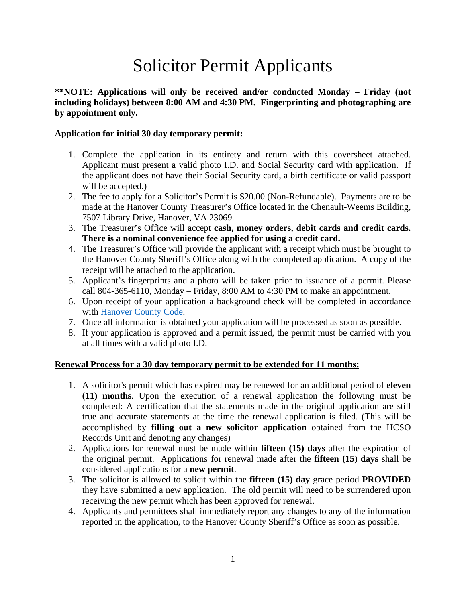# Solicitor Permit Applicants

**\*\*NOTE: Applications will only be received and/or conducted Monday – Friday (not including holidays) between 8:00 AM and 4:30 PM. Fingerprinting and photographing are by appointment only.** 

#### **Application for initial 30 day temporary permit:**

- 1. Complete the application in its entirety and return with this coversheet attached. Applicant must present a valid photo I.D. and Social Security card with application. If the applicant does not have their Social Security card, a birth certificate or valid passport will be accepted.)
- 2. The fee to apply for a Solicitor's Permit is \$20.00 (Non-Refundable). Payments are to be made at the Hanover County Treasurer's Office located in the Chenault-Weems Building, 7507 Library Drive, Hanover, VA 23069.
- 3. The Treasurer's Office will accept **cash, money orders, debit cards and credit cards. There is a nominal convenience fee applied for using a credit card.**
- 4. The Treasurer's Office will provide the applicant with a receipt which must be brought to the Hanover County Sheriff's Office along with the completed application. A copy of the receipt will be attached to the application.
- 5. Applicant's fingerprints and a photo will be taken prior to issuance of a permit. Please call 804-365-6110, Monday – Friday, 8:00 AM to 4:30 PM to make an appointment.
- 6. Upon receipt of your application a background check will be completed in accordance with [Hanover County Code.](https://library.municode.com/va/hanover_county/codes/code_of_ordinances?nodeId=COCO_CH21SO)
- 7. Once all information is obtained your application will be processed as soon as possible.
- 8. If your application is approved and a permit issued, the permit must be carried with you at all times with a valid photo I.D.

#### **Renewal Process for a 30 day temporary permit to be extended for 11 months:**

- 1. A solicitor's permit which has expired may be renewed for an additional period of **eleven (11) months**. Upon the execution of a renewal application the following must be completed: A certification that the statements made in the original application are still true and accurate statements at the time the renewal application is filed. (This will be accomplished by **filling out a new solicitor application** obtained from the HCSO Records Unit and denoting any changes)
- 2. Applications for renewal must be made within **fifteen (15) days** after the expiration of the original permit. Applications for renewal made after the **fifteen (15) days** shall be considered applications for a **new permit**.
- 3. The solicitor is allowed to solicit within the **fifteen (15) day** grace period **PROVIDED** they have submitted a new application. The old permit will need to be surrendered upon receiving the new permit which has been approved for renewal.
- 4. Applicants and permittees shall immediately report any changes to any of the information reported in the application, to the Hanover County Sheriff's Office as soon as possible.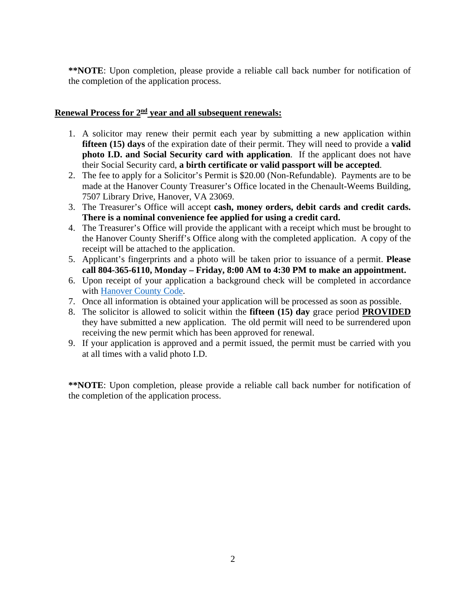**\*\*NOTE**: Upon completion, please provide a reliable call back number for notification of the completion of the application process.

#### Renewal Process for  $2<sup>nd</sup>$  year and all subsequent renewals:

- 1. A solicitor may renew their permit each year by submitting a new application within **fifteen (15) days** of the expiration date of their permit. They will need to provide a **valid photo I.D. and Social Security card with application**. If the applicant does not have their Social Security card, **a birth certificate or valid passport will be accepted**.
- 2. The fee to apply for a Solicitor's Permit is \$20.00 (Non-Refundable). Payments are to be made at the Hanover County Treasurer's Office located in the Chenault-Weems Building, 7507 Library Drive, Hanover, VA 23069.
- 3. The Treasurer's Office will accept **cash, money orders, debit cards and credit cards. There is a nominal convenience fee applied for using a credit card.**
- 4. The Treasurer's Office will provide the applicant with a receipt which must be brought to the Hanover County Sheriff's Office along with the completed application. A copy of the receipt will be attached to the application.
- 5. Applicant's fingerprints and a photo will be taken prior to issuance of a permit. **Please call 804-365-6110, Monday – Friday, 8:00 AM to 4:30 PM to make an appointment.**
- 6. Upon receipt of your application a background check will be completed in accordance with [Hanover County Code.](https://library.municode.com/va/hanover_county/codes/code_of_ordinances?nodeId=COCO_CH21SO)
- 7. Once all information is obtained your application will be processed as soon as possible.
- 8. The solicitor is allowed to solicit within the **fifteen (15) day** grace period **PROVIDED** they have submitted a new application. The old permit will need to be surrendered upon receiving the new permit which has been approved for renewal.
- 9. If your application is approved and a permit issued, the permit must be carried with you at all times with a valid photo I.D.

**\*\*NOTE**: Upon completion, please provide a reliable call back number for notification of the completion of the application process.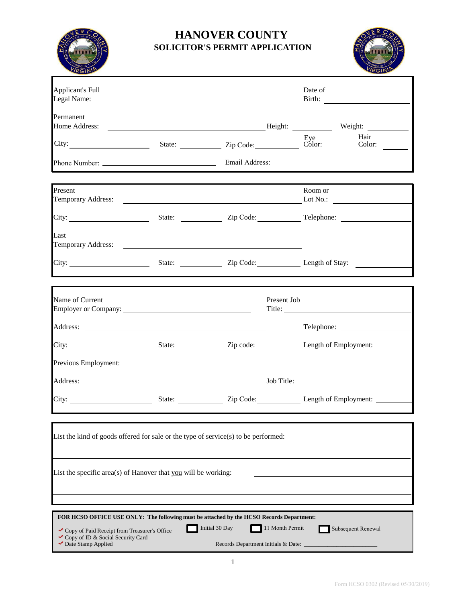

## **HANOVER COUNTY SOLICITOR'S PERMIT APPLICATION**



| Applicant's Full<br>Legal Name:                                                                                                                                                                                                                                                                                             |  |             | Date of                                                                                                                                                                                                                              |  |
|-----------------------------------------------------------------------------------------------------------------------------------------------------------------------------------------------------------------------------------------------------------------------------------------------------------------------------|--|-------------|--------------------------------------------------------------------------------------------------------------------------------------------------------------------------------------------------------------------------------------|--|
| Permanent                                                                                                                                                                                                                                                                                                                   |  |             |                                                                                                                                                                                                                                      |  |
|                                                                                                                                                                                                                                                                                                                             |  |             | City: Eye Hair<br>City: State: Zip Code: Eye Color: Eye Hair<br>City: Color: Color: Color: Color: Color: Color: Color: Color: Color: Color: Color: Color: Color: Color: Color: Color: Color: Color: Color: Color: Color: Color: Colo |  |
|                                                                                                                                                                                                                                                                                                                             |  |             |                                                                                                                                                                                                                                      |  |
| Present                                                                                                                                                                                                                                                                                                                     |  |             | Room or                                                                                                                                                                                                                              |  |
|                                                                                                                                                                                                                                                                                                                             |  |             |                                                                                                                                                                                                                                      |  |
| Last                                                                                                                                                                                                                                                                                                                        |  |             |                                                                                                                                                                                                                                      |  |
|                                                                                                                                                                                                                                                                                                                             |  |             | City: State: State: Zip Code: Length of Stay:                                                                                                                                                                                        |  |
|                                                                                                                                                                                                                                                                                                                             |  |             |                                                                                                                                                                                                                                      |  |
| Name of Current                                                                                                                                                                                                                                                                                                             |  | Present Job | Title:                                                                                                                                                                                                                               |  |
|                                                                                                                                                                                                                                                                                                                             |  |             | Telephone:                                                                                                                                                                                                                           |  |
|                                                                                                                                                                                                                                                                                                                             |  |             |                                                                                                                                                                                                                                      |  |
|                                                                                                                                                                                                                                                                                                                             |  |             |                                                                                                                                                                                                                                      |  |
|                                                                                                                                                                                                                                                                                                                             |  |             |                                                                                                                                                                                                                                      |  |
|                                                                                                                                                                                                                                                                                                                             |  |             |                                                                                                                                                                                                                                      |  |
| List the kind of goods offered for sale or the type of service(s) to be performed:                                                                                                                                                                                                                                          |  |             |                                                                                                                                                                                                                                      |  |
|                                                                                                                                                                                                                                                                                                                             |  |             |                                                                                                                                                                                                                                      |  |
| List the specific area(s) of Hanover that you will be working:                                                                                                                                                                                                                                                              |  |             |                                                                                                                                                                                                                                      |  |
|                                                                                                                                                                                                                                                                                                                             |  |             |                                                                                                                                                                                                                                      |  |
|                                                                                                                                                                                                                                                                                                                             |  |             |                                                                                                                                                                                                                                      |  |
| FOR HCSO OFFICE USE ONLY: The following must be attached by the HCSO Records Department:<br>Initial 30 Day<br>11 Month Permit<br>Subsequent Renewal<br>Copy of Paid Receipt from Treasurer's Office<br>Copy of ID & Social Security Card<br>$\blacktriangleright$ Date Stamp Applied<br>Records Department Initials & Date: |  |             |                                                                                                                                                                                                                                      |  |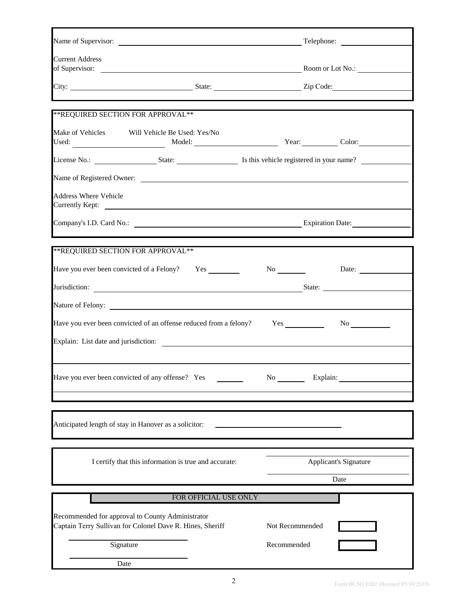| <b>Current Address</b>                                                                                                                                                                                                         |                                      |
|--------------------------------------------------------------------------------------------------------------------------------------------------------------------------------------------------------------------------------|--------------------------------------|
|                                                                                                                                                                                                                                |                                      |
| **REQUIRED SECTION FOR APPROVAL**                                                                                                                                                                                              |                                      |
| Make of Vehicles<br>Will Vehicle Be Used: Yes/No                                                                                                                                                                               |                                      |
|                                                                                                                                                                                                                                |                                      |
|                                                                                                                                                                                                                                |                                      |
| <b>Address Where Vehicle</b>                                                                                                                                                                                                   |                                      |
| the control of the control of the control of the control of the control of the control of the control of the control of the control of the control of the control of the control of the control of the control of the control  |                                      |
| **REQUIRED SECTION FOR APPROVAL**                                                                                                                                                                                              |                                      |
| Have you ever been convicted of a Felony? Yes No No No Date:                                                                                                                                                                   |                                      |
| Jurisdiction: State: State: State: State: State: State: State: State: State: State: State: State: State: State: State: State: State: State: State: State: State: State: State: State: State: State: State: State: State: State |                                      |
|                                                                                                                                                                                                                                |                                      |
|                                                                                                                                                                                                                                |                                      |
| Explain: List date and jurisdiction:                                                                                                                                                                                           |                                      |
| Have you ever been convicted of any offense? Yes                                                                                                                                                                               | No Explain:                          |
| Anticipated length of stay in Hanover as a solicitor:                                                                                                                                                                          |                                      |
| I certify that this information is true and accurate:                                                                                                                                                                          | <b>Applicant's Signature</b><br>Date |
| FOR OFFICIAL USE ONLY                                                                                                                                                                                                          |                                      |
| Recommended for approval to County Administrator<br>Captain Terry Sullivan for Colonel Dave R. Hines, Sheriff                                                                                                                  | Not Recommended                      |
| Signature                                                                                                                                                                                                                      | Recommended                          |
| Date                                                                                                                                                                                                                           |                                      |